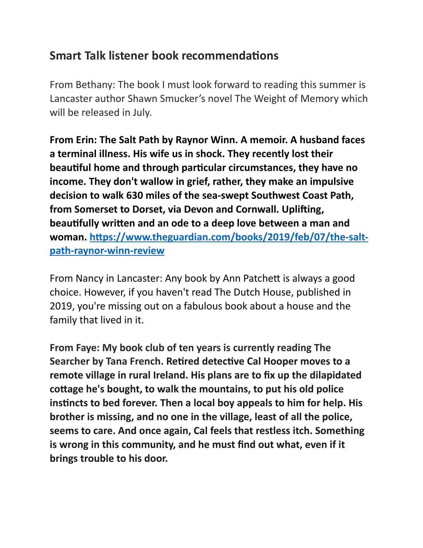## **Smart Talk listener book recommendations**

From Bethany: The book I must look forward to reading this summer is Lancaster author Shawn Smucker's novel The Weight of Memory which will be released in July.

**From Erin: The Salt Path by Raynor Winn. A memoir. A husband faces a terminal illness. His wife us in shock. They recently lost their beautiful home and through particular circumstances, they have no income. They don't wallow in grief, rather, they make an impulsive decision to walk 630 miles of the sea-swept Southwest Coast Path,**  from Somerset to Dorset, via Devon and Cornwall. Uplifting, beautifully written and an ode to a deep love between a man and woman. https://www.theguardian.com/books/2019/feb/07/the-salt**path-raynor-winn-review**

From Nancy in Lancaster: Any book by Ann Patchett is always a good choice. However, if you haven't read The Dutch House, published in 2019, you're missing out on a fabulous book about a house and the family that lived in it.

**From Faye: My book club of ten years is currently reading The Searcher by Tana French. Retired detective Cal Hooper moves to a remote village in rural Ireland. His plans are to fix up the dilapidated**  cottage he's bought, to walk the mountains, to put his old police instincts to bed forever. Then a local boy appeals to him for help. His **brother is missing, and no one in the village, least of all the police, seems to care. And once again, Cal feels that restless itch. Something is wrong in this community, and he must find out what, even if it brings trouble to his door.**